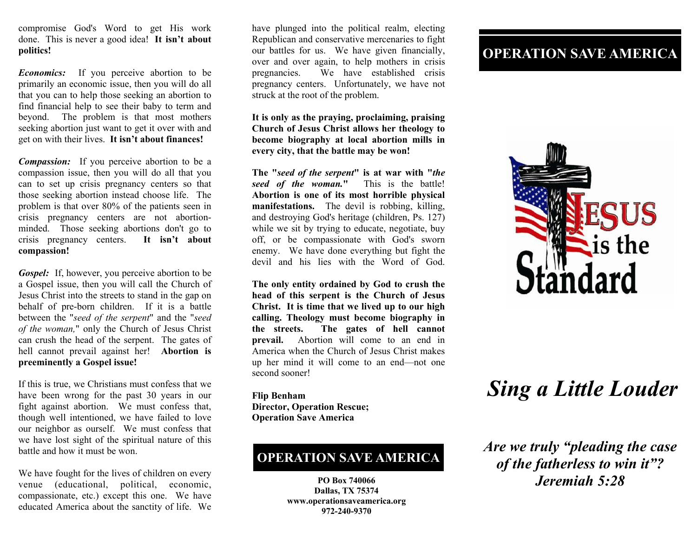compromise God's Word to get His work done. This is never a good idea! **It isn't about politics!** 

*Economics:* If you perceive abortion to be primarily an economic issue, then you will do all that you can to help those seeking an abortion to find financial help to see their baby to term and beyond. The problem is that most mothers seeking abortion just want to get it over with and get on with their lives. **It isn't about finances!** 

*Compassion:* If you perceive abortion to be a compassion issue, then you will do all that you can to set up crisis pregnancy centers so that those seeking abortion instead choose life. The problem is that over 80% of the patients seen in crisis pregnancy centers are not abortionminded. Those seeking abortions don't go to crisis pregnancy centers. **It isn't about compassion!** 

*Gospel:* If, however, you perceive abortion to be a Gospel issue, then you will call the Church of Jesus Christ into the streets to stand in the gap on behalf of pre-born children. If it is a battle between the "*seed of the serpent*" and the "*seed of the woman,*" only the Church of Jesus Christ can crush the head of the serpent. The gates of hell cannot prevail against her! **Abortion is preeminently a Gospel issue!** 

If this is true, we Christians must confess that we have been wrong for the past 30 years in our fight against abortion. We must confess that, though well intentioned, we have failed to love our neighbor as ourself. We must confess that we have lost sight of the spiritual nature of this battle and how it must be won.

We have fought for the lives of children on every venue (educational, political, economic, compassionate, etc.) except this one. We have educated America about the sanctity of life. We

have plunged into the political realm, electing Republican and conservative mercenaries to fight our battles for us. We have given financially, over and over again, to help mothers in crisis pregnancies. We have established crisis pregnancy centers. Unfortunately, we have not struck at the root of the problem.

**It is only as the praying, proclaiming, praising Church of Jesus Christ allows her theology to become biography at local abortion mills in every city, that the battle may be won!** 

**The "***seed of the serpent***" is at war with "***the seed of the woman.***"** This is the battle! **Abortion is one of its most horrible physical manifestations.** The devil is robbing, killing, and destroying God's heritage (children, Ps. 127) while we sit by trying to educate, negotiate, buy off, or be compassionate with God's sworn enemy.We have done everything but fight the devil and his lies with the Word of God.

**The only entity ordained by God to crush the head of this serpent is the Church of Jesus Christ. It is time that we lived up to our high calling. Theology must become biography in the streets. The gates of hell cannot prevail.** Abortion will come to an end in America when the Church of Jesus Christ makes up her mind it will come to an end—not one second sooner!

**Flip Benham Director, Operation Rescue; Operation Save America** 

# **OPERATION SAVE AMERICA**

**PO Box 740066 Dallas, TX 75374 www.operationsaveamerica.org 972-240-9370** 

# **OPERATION SAVE AMERICA**



# *Sing a Little Louder*

*Are we truly "pleading the case of the fatherless to win it"? Jeremiah 5:28*